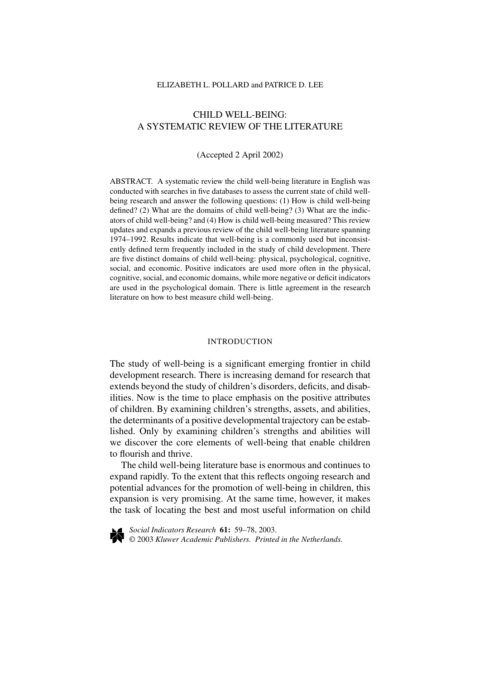## ELIZABETH L. POLLARD and PATRICE D. LEE

## CHILD WELL-BEING: A SYSTEMATIC REVIEW OF THE LITERATURE

## (Accepted 2 April 2002)

ABSTRACT. A systematic review the child well-being literature in English was conducted with searches in five databases to assess the current state of child wellbeing research and answer the following questions: (1) How is child well-being defined? (2) What are the domains of child well-being? (3) What are the indicators of child well-being? and (4) How is child well-being measured? This review updates and expands a previous review of the child well-being literature spanning 1974–1992. Results indicate that well-being is a commonly used but inconsistently defined term frequently included in the study of child development. There are five distinct domains of child well-being: physical, psychological, cognitive, social, and economic. Positive indicators are used more often in the physical, cognitive, social, and economic domains, while more negative or deficit indicators are used in the psychological domain. There is little agreement in the research literature on how to best measure child well-being.

#### INTRODUCTION

The study of well-being is a significant emerging frontier in child development research. There is increasing demand for research that extends beyond the study of children's disorders, deficits, and disabilities. Now is the time to place emphasis on the positive attributes of children. By examining children's strengths, assets, and abilities, the determinants of a positive developmental trajectory can be established. Only by examining children's strengths and abilities will we discover the core elements of well-being that enable children to flourish and thrive.

The child well-being literature base is enormous and continues to expand rapidly. To the extent that this reflects ongoing research and potential advances for the promotion of well-being in children, this expansion is very promising. At the same time, however, it makes the task of locating the best and most useful information on child



*Social Indicators Research* **61:** 59–78, 2003. © 2003 *Kluwer Academic Publishers. Printed in the Netherlands.*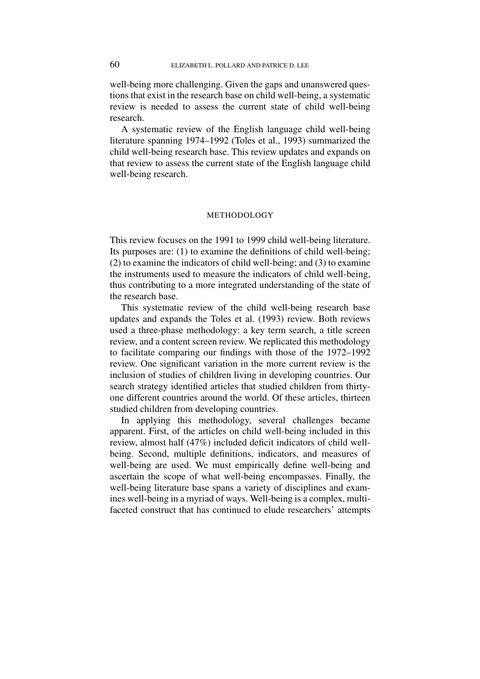well-being more challenging. Given the gaps and unanswered questions that exist in the research base on child well-being, a systematic review is needed to assess the current state of child well-being research.

A systematic review of the English language child well-being literature spanning 1974–1992 (Toles et al., 1993) summarized the child well-being research base. This review updates and expands on that review to assess the current state of the English language child well-being research.

### METHODOLOGY

This review focuses on the 1991 to 1999 child well-being literature. Its purposes are: (1) to examine the definitions of child well-being; (2) to examine the indicators of child well-being; and (3) to examine the instruments used to measure the indicators of child well-being, thus contributing to a more integrated understanding of the state of the research base.

This systematic review of the child well-being research base updates and expands the Toles et al. (1993) review. Both reviews used a three-phase methodology: a key term search, a title screen review, and a content screen review. We replicated this methodology to facilitate comparing our findings with those of the 1972–1992 review. One significant variation in the more current review is the inclusion of studies of children living in developing countries. Our search strategy identified articles that studied children from thirtyone different countries around the world. Of these articles, thirteen studied children from developing countries.

In applying this methodology, several challenges became apparent. First, of the articles on child well-being included in this review, almost half (47%) included deficit indicators of child wellbeing. Second, multiple definitions, indicators, and measures of well-being are used. We must empirically define well-being and ascertain the scope of what well-being encompasses. Finally, the well-being literature base spans a variety of disciplines and examines well-being in a myriad of ways. Well-being is a complex, multifaceted construct that has continued to elude researchers' attempts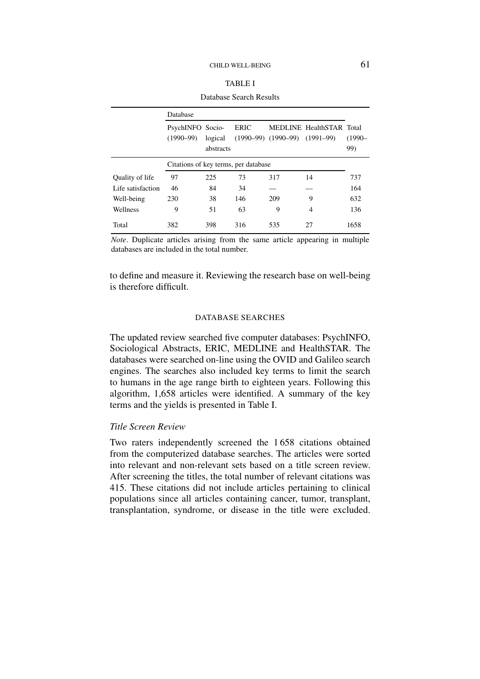| n<br>۱D.<br>ъ. |  |
|----------------|--|
|                |  |

Database Search Results

|                   | Database                             |           |      |                                     |                          |           |
|-------------------|--------------------------------------|-----------|------|-------------------------------------|--------------------------|-----------|
|                   | PsychINFO Socio-                     |           | ERIC |                                     | MEDLINE HealthSTAR Total |           |
|                   | $(1990 - 99)$                        | logical   |      | $(1990-99)$ $(1990-99)$ $(1991-99)$ |                          | $(1990 -$ |
|                   |                                      | abstracts |      |                                     |                          | 99)       |
|                   | Citations of key terms, per database |           |      |                                     |                          |           |
| Quality of life   | 97                                   | 225       | 73   | 317                                 | 14                       | 737       |
| Life satisfaction | 46                                   | 84        | 34   |                                     |                          | 164       |
| Well-being        | 230                                  | 38        | 146  | 209                                 | 9                        | 632       |
| Wellness          | 9                                    | 51        | 63   | 9                                   | 4                        | 136       |
| Total             | 382                                  | 398       | 316  | 535                                 | 27                       | 1658      |

*Note*. Duplicate articles arising from the same article appearing in multiple databases are included in the total number.

to define and measure it. Reviewing the research base on well-being is therefore difficult.

### DATABASE SEARCHES

The updated review searched five computer databases: PsychINFO, Sociological Abstracts, ERIC, MEDLINE and HealthSTAR. The databases were searched on-line using the OVID and Galileo search engines. The searches also included key terms to limit the search to humans in the age range birth to eighteen years. Following this algorithm, 1,658 articles were identified. A summary of the key terms and the yields is presented in Table I.

## *Title Screen Review*

Two raters independently screened the 1 658 citations obtained from the computerized database searches. The articles were sorted into relevant and non-relevant sets based on a title screen review. After screening the titles, the total number of relevant citations was 415. These citations did not include articles pertaining to clinical populations since all articles containing cancer, tumor, transplant, transplantation, syndrome, or disease in the title were excluded.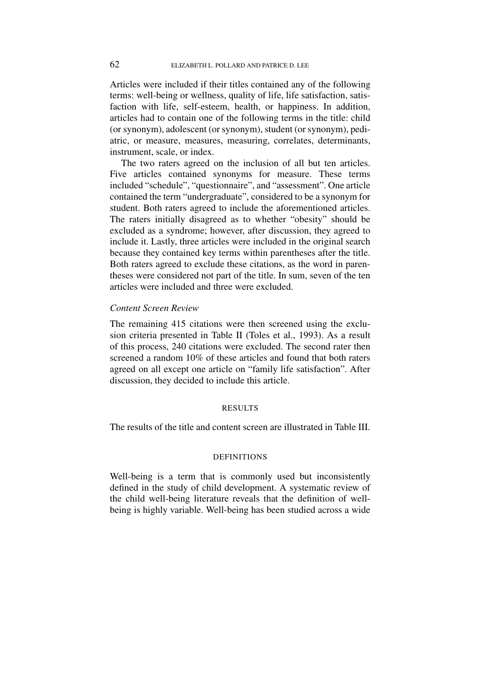Articles were included if their titles contained any of the following terms: well-being or wellness, quality of life, life satisfaction, satisfaction with life, self-esteem, health, or happiness. In addition, articles had to contain one of the following terms in the title: child (or synonym), adolescent (or synonym), student (or synonym), pediatric, or measure, measures, measuring, correlates, determinants, instrument, scale, or index.

The two raters agreed on the inclusion of all but ten articles. Five articles contained synonyms for measure. These terms included "schedule", "questionnaire", and "assessment". One article contained the term "undergraduate", considered to be a synonym for student. Both raters agreed to include the aforementioned articles. The raters initially disagreed as to whether "obesity" should be excluded as a syndrome; however, after discussion, they agreed to include it. Lastly, three articles were included in the original search because they contained key terms within parentheses after the title. Both raters agreed to exclude these citations, as the word in parentheses were considered not part of the title. In sum, seven of the ten articles were included and three were excluded.

## *Content Screen Review*

The remaining 415 citations were then screened using the exclusion criteria presented in Table II (Toles et al., 1993). As a result of this process, 240 citations were excluded. The second rater then screened a random 10% of these articles and found that both raters agreed on all except one article on "family life satisfaction". After discussion, they decided to include this article.

#### RESULTS

The results of the title and content screen are illustrated in Table III.

### DEFINITIONS

Well-being is a term that is commonly used but inconsistently defined in the study of child development. A systematic review of the child well-being literature reveals that the definition of wellbeing is highly variable. Well-being has been studied across a wide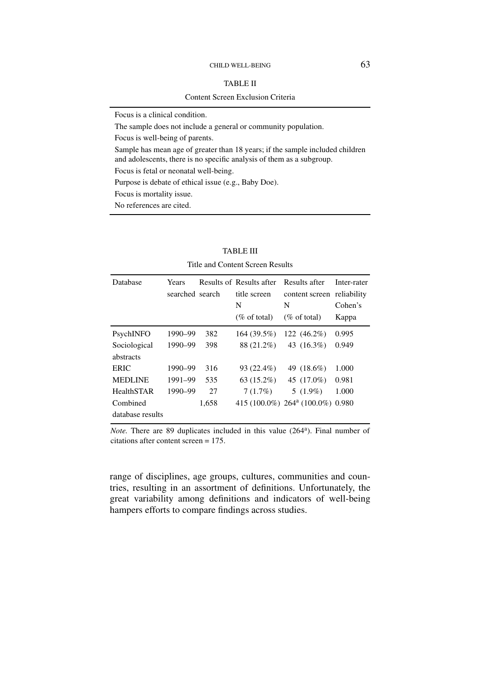#### CHILD WELL-BEING 63

#### TABLE II

#### Content Screen Exclusion Criteria

Focus is a clinical condition.

The sample does not include a general or community population.

Focus is well-being of parents.

Sample has mean age of greater than 18 years; if the sample included children and adolescents, there is no specific analysis of them as a subgroup.

Focus is fetal or neonatal well-being.

Purpose is debate of ethical issue (e.g., Baby Doe).

Focus is mortality issue.

No references are cited.

| Database                  | Years<br>searched search |       | Results of Results after<br>title screen<br>N<br>$(\% \text{ of total})$ | Results after<br>content screen<br>N<br>$(\%$ of total) | Inter-rater<br>reliability<br>Cohen's<br>Kappa |
|---------------------------|--------------------------|-------|--------------------------------------------------------------------------|---------------------------------------------------------|------------------------------------------------|
| PsychINFO                 | 1990-99                  | 382   | 164 (39.5%)                                                              | 122 $(46.2\%)$                                          | 0.995                                          |
| Sociological<br>abstracts | 1990-99                  | 398   | 88 (21.2%)                                                               | 43 (16.3%)                                              | 0.949                                          |
| <b>ERIC</b>               | 1990-99                  | 316   | 93 (22.4%)                                                               | 49 (18.6%)                                              | 1.000                                          |
| <b>MEDLINE</b>            | 1991-99                  | 535   | $63(15.2\%)$                                                             | 45 (17.0%)                                              | 0.981                                          |
| <b>HealthSTAR</b>         | 1990-99                  | 27    | 7(1.7%)                                                                  | $5(1.9\%)$                                              | 1.000                                          |
| Combined                  |                          | 1,658 |                                                                          | 415 (100.0%) 264 <sup>a</sup> (100.0%) 0.980            |                                                |
| database results          |                          |       |                                                                          |                                                         |                                                |

# TABLE III

Title and Content Screen Results

*Note.* There are 89 duplicates included in this value (264<sup>a</sup>). Final number of citations after content screen = 175.

range of disciplines, age groups, cultures, communities and countries, resulting in an assortment of definitions. Unfortunately, the great variability among definitions and indicators of well-being hampers efforts to compare findings across studies.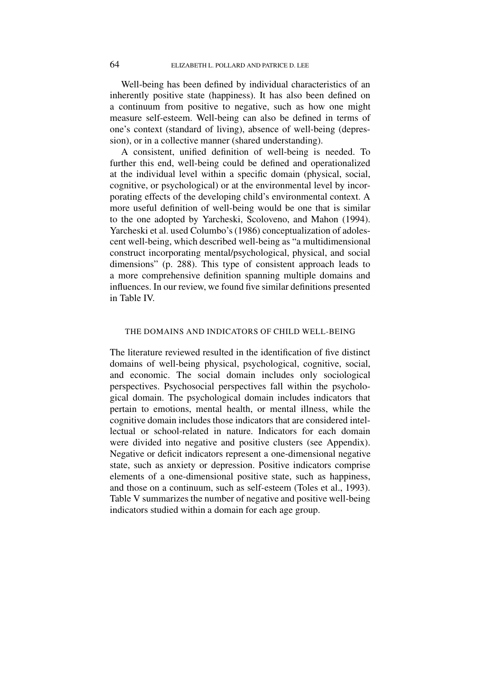Well-being has been defined by individual characteristics of an inherently positive state (happiness). It has also been defined on a continuum from positive to negative, such as how one might measure self-esteem. Well-being can also be defined in terms of one's context (standard of living), absence of well-being (depression), or in a collective manner (shared understanding).

A consistent, unified definition of well-being is needed. To further this end, well-being could be defined and operationalized at the individual level within a specific domain (physical, social, cognitive, or psychological) or at the environmental level by incorporating effects of the developing child's environmental context. A more useful definition of well-being would be one that is similar to the one adopted by Yarcheski, Scoloveno, and Mahon (1994). Yarcheski et al. used Columbo's (1986) conceptualization of adolescent well-being, which described well-being as "a multidimensional construct incorporating mental/psychological, physical, and social dimensions" (p. 288). This type of consistent approach leads to a more comprehensive definition spanning multiple domains and influences. In our review, we found five similar definitions presented in Table IV.

## THE DOMAINS AND INDICATORS OF CHILD WELL-BEING

The literature reviewed resulted in the identification of five distinct domains of well-being physical, psychological, cognitive, social, and economic. The social domain includes only sociological perspectives. Psychosocial perspectives fall within the psychological domain. The psychological domain includes indicators that pertain to emotions, mental health, or mental illness, while the cognitive domain includes those indicators that are considered intellectual or school-related in nature. Indicators for each domain were divided into negative and positive clusters (see Appendix). Negative or deficit indicators represent a one-dimensional negative state, such as anxiety or depression. Positive indicators comprise elements of a one-dimensional positive state, such as happiness, and those on a continuum, such as self-esteem (Toles et al., 1993). Table V summarizes the number of negative and positive well-being indicators studied within a domain for each age group.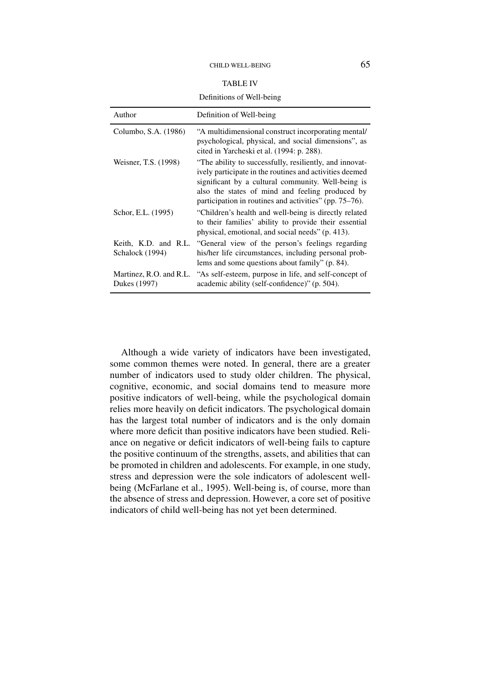#### CHILD WELL-BEING 65

#### TABLE IV

Definitions of Well-being

| Author                                  | Definition of Well-being                                                                                                                                                                                                                                                              |
|-----------------------------------------|---------------------------------------------------------------------------------------------------------------------------------------------------------------------------------------------------------------------------------------------------------------------------------------|
| Columbo, S.A. (1986)                    | "A multidimensional construct incorporating mental/<br>psychological, physical, and social dimensions", as<br>cited in Yarcheski et al. (1994: p. 288).                                                                                                                               |
| Weisner, T.S. (1998)                    | "The ability to successfully, resiliently, and innovat-<br>ively participate in the routines and activities deemed<br>significant by a cultural community. Well-being is<br>also the states of mind and feeling produced by<br>participation in routines and activities" (pp. 75–76). |
| Schor, E.L. (1995)                      | "Children's health and well-being is directly related<br>to their families' ability to provide their essential<br>physical, emotional, and social needs" (p. 413).                                                                                                                    |
| Keith, K.D. and R.L.<br>Schalock (1994) | "General view of the person's feelings regarding<br>his/her life circumstances, including personal prob-<br>lems and some questions about family" (p. 84).                                                                                                                            |
| Dukes (1997)                            | Martinez, R.O. and R.L. "As self-esteem, purpose in life, and self-concept of<br>academic ability (self-confidence)" (p. 504).                                                                                                                                                        |

Although a wide variety of indicators have been investigated, some common themes were noted. In general, there are a greater number of indicators used to study older children. The physical, cognitive, economic, and social domains tend to measure more positive indicators of well-being, while the psychological domain relies more heavily on deficit indicators. The psychological domain has the largest total number of indicators and is the only domain where more deficit than positive indicators have been studied. Reliance on negative or deficit indicators of well-being fails to capture the positive continuum of the strengths, assets, and abilities that can be promoted in children and adolescents. For example, in one study, stress and depression were the sole indicators of adolescent wellbeing (McFarlane et al., 1995). Well-being is, of course, more than the absence of stress and depression. However, a core set of positive indicators of child well-being has not yet been determined.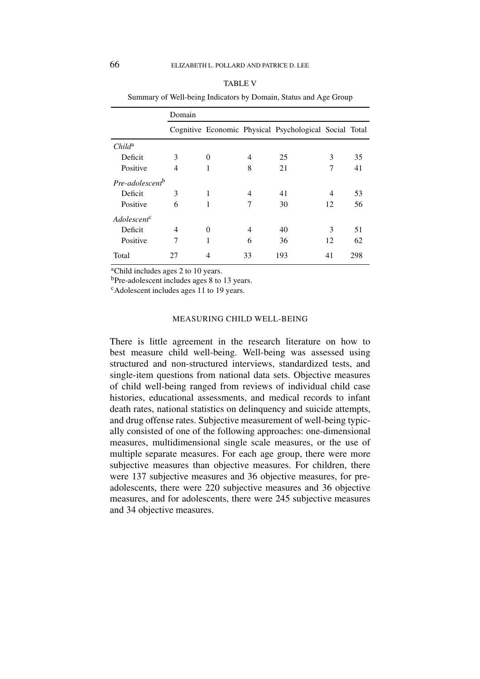|--|--|

Summary of Well-being Indicators by Domain, Status and Age Group

|                             | Domain         |          |    |                                                        |    |     |
|-----------------------------|----------------|----------|----|--------------------------------------------------------|----|-----|
|                             |                |          |    | Cognitive Economic Physical Psychological Social Total |    |     |
| Child <sup>a</sup>          |                |          |    |                                                        |    |     |
| Deficit                     | 3              | $\theta$ | 4  | 25                                                     | 3  | 35  |
| Positive                    | $\overline{4}$ | 1        | 8  | 21                                                     | 7  | 41  |
| Pre-adolescent <sup>b</sup> |                |          |    |                                                        |    |     |
| Deficit                     | 3              | 1        | 4  | 41                                                     | 4  | 53  |
| Positive                    | 6              | 1        | 7  | 30                                                     | 12 | 56  |
| Adolescent <sup>c</sup>     |                |          |    |                                                        |    |     |
| Deficit                     | 4              | $\theta$ | 4  | 40                                                     | 3  | 51  |
| Positive                    | 7              | 1        | 6  | 36                                                     | 12 | 62  |
| Total                       | 27             | 4        | 33 | 193                                                    | 41 | 298 |

<sup>a</sup>Child includes ages 2 to 10 years.

bPre-adolescent includes ages 8 to 13 years.

cAdolescent includes ages 11 to 19 years.

#### MEASURING CHILD WELL-BEING

There is little agreement in the research literature on how to best measure child well-being. Well-being was assessed using structured and non-structured interviews, standardized tests, and single-item questions from national data sets. Objective measures of child well-being ranged from reviews of individual child case histories, educational assessments, and medical records to infant death rates, national statistics on delinquency and suicide attempts, and drug offense rates. Subjective measurement of well-being typically consisted of one of the following approaches: one-dimensional measures, multidimensional single scale measures, or the use of multiple separate measures. For each age group, there were more subjective measures than objective measures. For children, there were 137 subjective measures and 36 objective measures, for preadolescents, there were 220 subjective measures and 36 objective measures, and for adolescents, there were 245 subjective measures and 34 objective measures.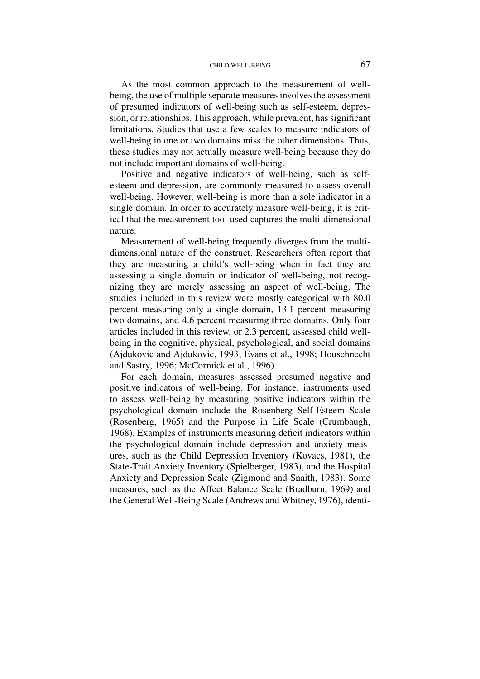As the most common approach to the measurement of wellbeing, the use of multiple separate measures involves the assessment of presumed indicators of well-being such as self-esteem, depression, or relationships. This approach, while prevalent, has significant limitations. Studies that use a few scales to measure indicators of well-being in one or two domains miss the other dimensions. Thus, these studies may not actually measure well-being because they do not include important domains of well-being.

Positive and negative indicators of well-being, such as selfesteem and depression, are commonly measured to assess overall well-being. However, well-being is more than a sole indicator in a single domain. In order to accurately measure well-being, it is critical that the measurement tool used captures the multi-dimensional nature.

Measurement of well-being frequently diverges from the multidimensional nature of the construct. Researchers often report that they are measuring a child's well-being when in fact they are assessing a single domain or indicator of well-being, not recognizing they are merely assessing an aspect of well-being. The studies included in this review were mostly categorical with 80.0 percent measuring only a single domain, 13.1 percent measuring two domains, and 4.6 percent measuring three domains. Only four articles included in this review, or 2.3 percent, assessed child wellbeing in the cognitive, physical, psychological, and social domains (Ajdukovic and Ajdukovic, 1993; Evans et al., 1998; Househnecht and Sastry, 1996; McCormick et al., 1996).

For each domain, measures assessed presumed negative and positive indicators of well-being. For instance, instruments used to assess well-being by measuring positive indicators within the psychological domain include the Rosenberg Self-Esteem Scale (Rosenberg, 1965) and the Purpose in Life Scale (Crumbaugh, 1968). Examples of instruments measuring deficit indicators within the psychological domain include depression and anxiety measures, such as the Child Depression Inventory (Kovacs, 1981), the State-Trait Anxiety Inventory (Spielberger, 1983), and the Hospital Anxiety and Depression Scale (Zigmond and Snaith, 1983). Some measures, such as the Affect Balance Scale (Bradburn, 1969) and the General Well-Being Scale (Andrews and Whitney, 1976), identi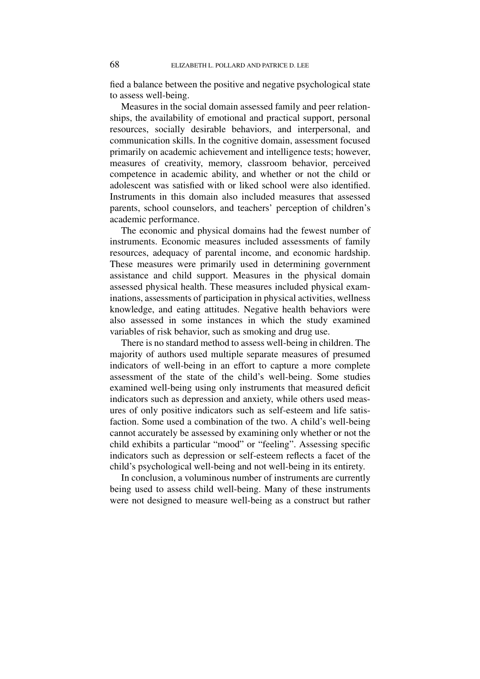fied a balance between the positive and negative psychological state to assess well-being.

Measures in the social domain assessed family and peer relationships, the availability of emotional and practical support, personal resources, socially desirable behaviors, and interpersonal, and communication skills. In the cognitive domain, assessment focused primarily on academic achievement and intelligence tests; however, measures of creativity, memory, classroom behavior, perceived competence in academic ability, and whether or not the child or adolescent was satisfied with or liked school were also identified. Instruments in this domain also included measures that assessed parents, school counselors, and teachers' perception of children's academic performance.

The economic and physical domains had the fewest number of instruments. Economic measures included assessments of family resources, adequacy of parental income, and economic hardship. These measures were primarily used in determining government assistance and child support. Measures in the physical domain assessed physical health. These measures included physical examinations, assessments of participation in physical activities, wellness knowledge, and eating attitudes. Negative health behaviors were also assessed in some instances in which the study examined variables of risk behavior, such as smoking and drug use.

There is no standard method to assess well-being in children. The majority of authors used multiple separate measures of presumed indicators of well-being in an effort to capture a more complete assessment of the state of the child's well-being. Some studies examined well-being using only instruments that measured deficit indicators such as depression and anxiety, while others used measures of only positive indicators such as self-esteem and life satisfaction. Some used a combination of the two. A child's well-being cannot accurately be assessed by examining only whether or not the child exhibits a particular "mood" or "feeling". Assessing specific indicators such as depression or self-esteem reflects a facet of the child's psychological well-being and not well-being in its entirety.

In conclusion, a voluminous number of instruments are currently being used to assess child well-being. Many of these instruments were not designed to measure well-being as a construct but rather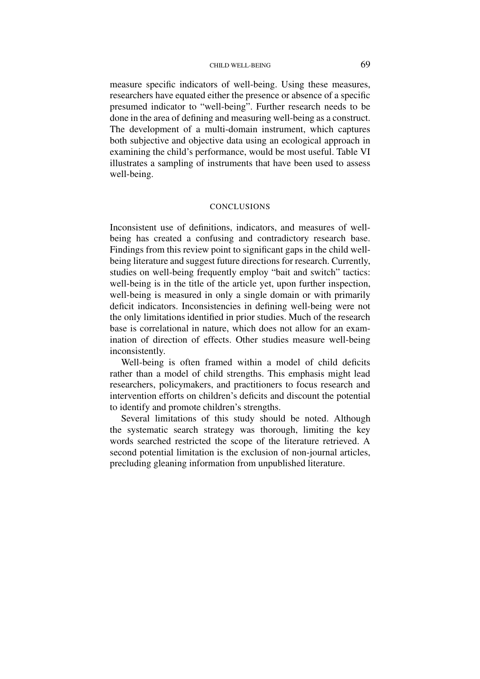## CHILD WELL-BEING 69

measure specific indicators of well-being. Using these measures, researchers have equated either the presence or absence of a specific presumed indicator to "well-being". Further research needs to be done in the area of defining and measuring well-being as a construct. The development of a multi-domain instrument, which captures both subjective and objective data using an ecological approach in examining the child's performance, would be most useful. Table VI illustrates a sampling of instruments that have been used to assess well-being.

#### **CONCLUSIONS**

Inconsistent use of definitions, indicators, and measures of wellbeing has created a confusing and contradictory research base. Findings from this review point to significant gaps in the child wellbeing literature and suggest future directions for research. Currently, studies on well-being frequently employ "bait and switch" tactics: well-being is in the title of the article yet, upon further inspection, well-being is measured in only a single domain or with primarily deficit indicators. Inconsistencies in defining well-being were not the only limitations identified in prior studies. Much of the research base is correlational in nature, which does not allow for an examination of direction of effects. Other studies measure well-being inconsistently.

Well-being is often framed within a model of child deficits rather than a model of child strengths. This emphasis might lead researchers, policymakers, and practitioners to focus research and intervention efforts on children's deficits and discount the potential to identify and promote children's strengths.

Several limitations of this study should be noted. Although the systematic search strategy was thorough, limiting the key words searched restricted the scope of the literature retrieved. A second potential limitation is the exclusion of non-journal articles, precluding gleaning information from unpublished literature.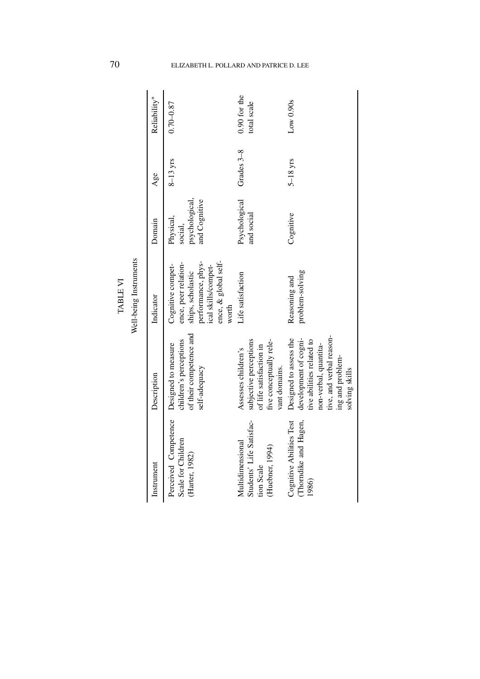|                                                                               |                                                                                                                                                                         | TABLE VI                                                                                                                                     |                                                         |            |                               |
|-------------------------------------------------------------------------------|-------------------------------------------------------------------------------------------------------------------------------------------------------------------------|----------------------------------------------------------------------------------------------------------------------------------------------|---------------------------------------------------------|------------|-------------------------------|
|                                                                               |                                                                                                                                                                         | Well-being Instruments                                                                                                                       |                                                         |            |                               |
| Instrument                                                                    | Description                                                                                                                                                             | Indicator                                                                                                                                    | Domain                                                  | Age        | Reliability*                  |
| Perceived Competence<br>Scale for Children<br>(Harter, 1982)                  | of their competence and<br>children's perceptions<br>Designed to measure<br>self-adequacy                                                                               | ence, & global self-<br>performance, phys-<br>ence, peer relation-<br>Cognitive compet-<br>ical skills/compet-<br>ships, scholastic<br>worth | psychological,<br>and Cognitive<br>Physical,<br>social, | $8-13$ yrs | $0.70 - 0.87$                 |
| Students' Life Satisfac-<br>Multidimensional<br>(Huebner, 1994)<br>tion Scale | subjective perceptions<br>five conceptually rele-<br>of life satisfaction in<br>Assesses children's<br>vant domains.                                                    | Life satisfaction                                                                                                                            | Psychological<br>and social                             | Grades 3-8 | $0.90$ for the<br>total scale |
| Cognitive Abilities Test<br>(Thorndike and Hagen,<br>1986)                    | tive, and verbal reason-<br>Designed to assess the<br>development of cogni-<br>tive abilities related to<br>non-verbal, quantita-<br>ing and problem-<br>solving skills | problem-solving<br>Reasoning and                                                                                                             | Cognitive                                               | $5-18$ yrs | Low 0.90s                     |

# 70 ELIZABETH L. POLLARD AND PATRICE D. LEE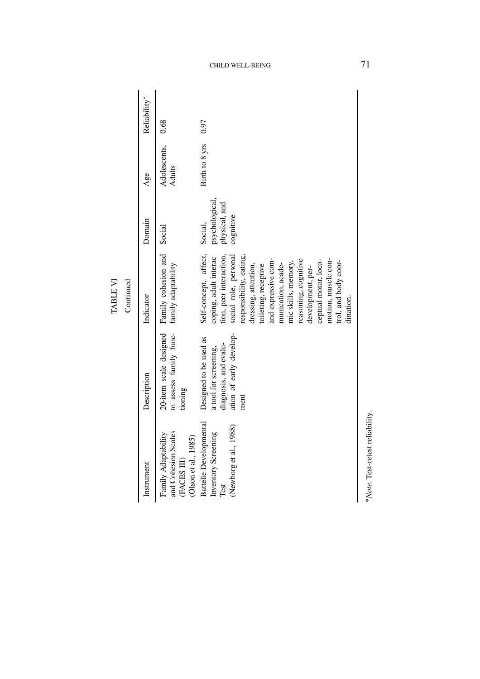|                                                                                        |                                                                                                             | TABLE VI<br>Continued                                                                                                                                                                                                                                                                                                                                                               |                                                         |                        |              |
|----------------------------------------------------------------------------------------|-------------------------------------------------------------------------------------------------------------|-------------------------------------------------------------------------------------------------------------------------------------------------------------------------------------------------------------------------------------------------------------------------------------------------------------------------------------------------------------------------------------|---------------------------------------------------------|------------------------|--------------|
| Instrument                                                                             | Description                                                                                                 | Indicator                                                                                                                                                                                                                                                                                                                                                                           | Domain                                                  | Age                    | Reliability* |
| and Cohesion Scales<br>Family Adaptability<br>(Olson et al., 1985)<br>(FACES III)      | to assess family func-<br>20-item scale designed<br>tioning                                                 | Family cohesion and<br>family adaptability                                                                                                                                                                                                                                                                                                                                          | Social                                                  | Adolescents,<br>Adults | 0.68         |
| <b>Battelle Developmental</b><br>(Newborg et al., 1988)<br>Inventory Screening<br>Test | ation of early develop-<br>Designed to be used as<br>diagnosis, and evalu-<br>a tool for screening,<br>ment | Self-concept, affect,<br>coping, adult interac-<br>tion, peer interaction,<br>social role, personal<br>responsibility, eating,<br>motion, muscle con-<br>and expressive com-<br>reasoning, cognitive<br>ceptual motor, loco-<br>mic skills, memory,<br>trol, and body coor-<br>munication, acade-<br>dressing, attention,<br>toileting, receptive<br>development, per-<br>dination. | psychological,<br>physical, and<br>cognitive<br>Social, | Birth to 8 yrs         | 0.97         |
| *Note. Test-retest reliability.                                                        |                                                                                                             |                                                                                                                                                                                                                                                                                                                                                                                     |                                                         |                        |              |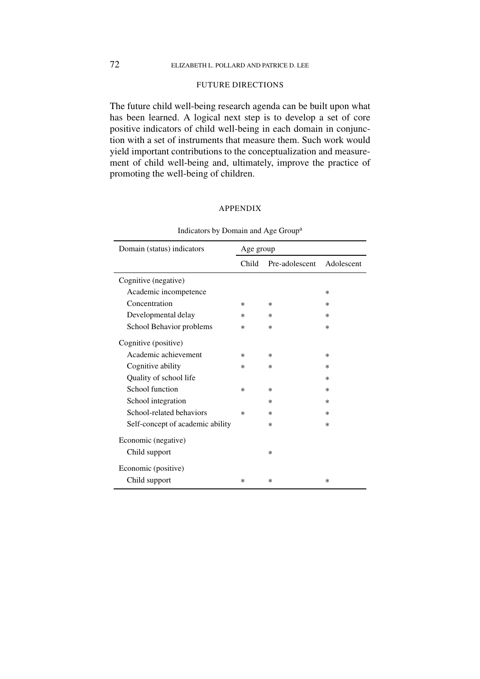## FUTURE DIRECTIONS

The future child well-being research agenda can be built upon what has been learned. A logical next step is to develop a set of core positive indicators of child well-being in each domain in conjunction with a set of instruments that measure them. Such work would yield important contributions to the conceptualization and measurement of child well-being and, ultimately, improve the practice of promoting the well-being of children.

## APPENDIX

| Domain (status) indicators       |         | Age group      |            |  |  |
|----------------------------------|---------|----------------|------------|--|--|
|                                  | Child   | Pre-adolescent | Adolescent |  |  |
| Cognitive (negative)             |         |                |            |  |  |
| Academic incompetence            |         |                | $\ast$     |  |  |
| Concentration                    | $^\ast$ | $\ast$         | $^\ast$    |  |  |
| Developmental delay              | $\ast$  | $\ast$         | $\ast$     |  |  |
| School Behavior problems         | $\ast$  | $\ast$         | $\ast$     |  |  |
| Cognitive (positive)             |         |                |            |  |  |
| Academic achievement             | $^\ast$ | $\ast$         | $\ast$     |  |  |
| Cognitive ability                | $\ast$  | $\ast$         | $\ast$     |  |  |
| Quality of school life           |         |                | $\ast$     |  |  |
| School function                  | $^\ast$ | $\ast$         | $\ast$     |  |  |
| School integration               |         | $\ast$         | $\ast$     |  |  |
| School-related behaviors         | $^\ast$ | ∗              | $\ast$     |  |  |
| Self-concept of academic ability |         | ∗              | $\ast$     |  |  |
| Economic (negative)              |         |                |            |  |  |
| Child support                    |         | $\ast$         |            |  |  |
| Economic (positive)              |         |                |            |  |  |
| Child support                    | $^\ast$ | $\ast$         | $\ast$     |  |  |

## Indicators by Domain and Age Group<sup>a</sup>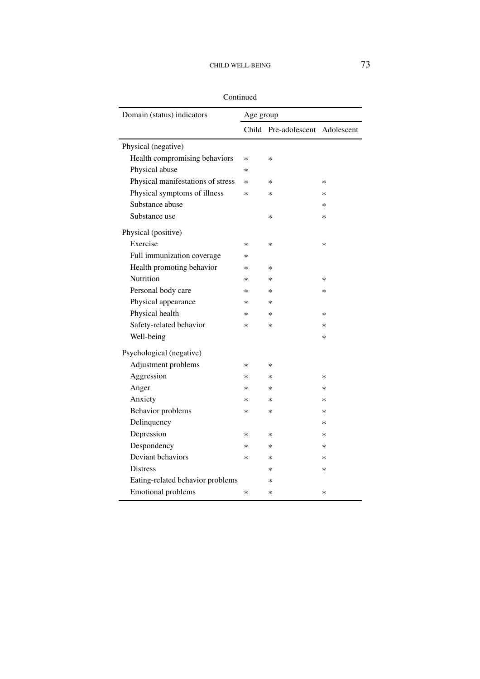| Domain (status) indicators        | Age group |                                 |        |
|-----------------------------------|-----------|---------------------------------|--------|
|                                   |           | Child Pre-adolescent Adolescent |        |
| Physical (negative)               |           |                                 |        |
| Health compromising behaviors     | $\ast$    | $\ast$                          |        |
| Physical abuse                    | $\ast$    |                                 |        |
| Physical manifestations of stress | $\ast$    | $\ast$                          | $\ast$ |
| Physical symptoms of illness      | $\ast$    | $\ast$                          | *      |
| Substance abuse                   |           |                                 | $\ast$ |
| Substance use                     |           | $\ast$                          | $\ast$ |
| Physical (positive)               |           |                                 |        |
| Exercise                          | $\ast$    | $\ast$                          | *      |
| Full immunization coverage        | ∗         |                                 |        |
| Health promoting behavior         | $\ast$    | $\ast$                          |        |
| Nutrition                         | $\ast$    | $\ast$                          | $\ast$ |
| Personal body care                | $\ast$    | $\ast$                          | $\ast$ |
| Physical appearance               | $\ast$    | $\ast$                          |        |
| Physical health                   | *         | $\ast$                          | *      |
| Safety-related behavior           | $\ast$    | $\ast$                          | $\ast$ |
| Well-being                        |           |                                 | $\ast$ |
| Psychological (negative)          |           |                                 |        |
| Adjustment problems               | $\ast$    | $\ast$                          |        |
| Aggression                        | $\ast$    | $\ast$                          | $\ast$ |
| Anger                             | *         | $\ast$                          | *      |
| Anxiety                           | ∗         | $\ast$                          | $\ast$ |
| Behavior problems                 | $\ast$    | $\ast$                          | $\ast$ |
| Delinquency                       |           |                                 | $\ast$ |
| Depression                        | $\ast$    | $\ast$                          | $\ast$ |
| Despondency                       | $\ast$    | $\ast$                          | $\ast$ |
| Deviant behaviors                 | $\ast$    | $\ast$                          | $\ast$ |
| <b>Distress</b>                   |           | *                               | *      |
| Eating-related behavior problems  |           | $\ast$                          |        |
| <b>Emotional problems</b>         | $\ast$    | $\ast$                          | $\ast$ |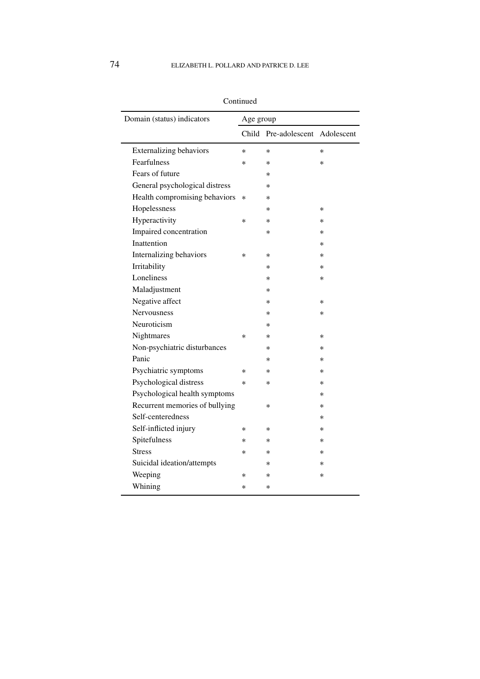| Domain (status) indicators     | Age group |                                 |        |
|--------------------------------|-----------|---------------------------------|--------|
|                                |           | Child Pre-adolescent Adolescent |        |
| <b>Externalizing behaviors</b> | $\ast$    | $\ast$                          | $\ast$ |
| Fearfulness                    | $\ast$    | $\ast$                          | $\ast$ |
| Fears of future                |           | *                               |        |
| General psychological distress |           | $\ast$                          |        |
| Health compromising behaviors  | $\ast$    | $\ast$                          |        |
| Hopelessness                   |           | $\ast$                          | $\ast$ |
| Hyperactivity                  | $\ast$    | $\ast$                          | $\ast$ |
| Impaired concentration         |           | $\ast$                          | $\ast$ |
| Inattention                    |           |                                 | $\ast$ |
| Internalizing behaviors        | $\ast$    | *                               | $\ast$ |
| Irritability                   |           | $\ast$                          | $\ast$ |
| Loneliness                     |           | *                               | $\ast$ |
| Maladjustment                  |           | *                               |        |
| Negative affect                |           | *                               | $\ast$ |
| <b>Nervousness</b>             |           | $\ast$                          | $\ast$ |
| Neuroticism                    |           | $\ast$                          |        |
| Nightmares                     | $\ast$    | *                               | $\ast$ |
| Non-psychiatric disturbances   |           | *                               | *      |
| Panic                          |           | $\ast$                          | $\ast$ |
| Psychiatric symptoms           | $\ast$    | $\ast$                          | $\ast$ |
| Psychological distress         | $\ast$    | $\ast$                          | $\ast$ |
| Psychological health symptoms  |           |                                 | $\ast$ |
| Recurrent memories of bullying |           | $\ast$                          | *      |
| Self-centeredness              |           |                                 | $\ast$ |
| Self-inflicted injury          | $\ast$    | $\ast$                          | $\ast$ |
| Spitefulness                   | $\ast$    | $\ast$                          | $\ast$ |
| <b>Stress</b>                  | $\ast$    | $\ast$                          | $\ast$ |
| Suicidal ideation/attempts     |           | $\ast$                          | $\ast$ |
| Weeping                        | $\ast$    | $\ast$                          | $\ast$ |
| Whining                        | $\ast$    | $\ast$                          |        |

Continued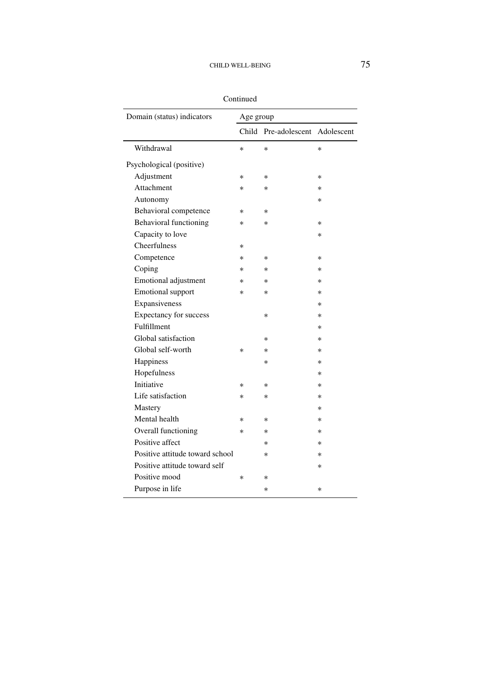| Domain (status) indicators      | Age group |                                 |        |
|---------------------------------|-----------|---------------------------------|--------|
|                                 |           | Child Pre-adolescent Adolescent |        |
| Withdrawal                      | $\ast$    | $\ast$                          | $\ast$ |
| Psychological (positive)        |           |                                 |        |
| Adjustment                      | $\ast$    | $\ast$                          | $\ast$ |
| Attachment                      | $\ast$    | $\ast$                          | $\ast$ |
| Autonomy                        |           |                                 | $\ast$ |
| Behavioral competence           | $\ast$    | $\ast$                          |        |
| <b>Behavioral functioning</b>   | $\ast$    | $\ast$                          | $\ast$ |
| Capacity to love                |           |                                 | $\ast$ |
| Cheerfulness                    | $\ast$    |                                 |        |
| Competence                      | ∗         | $\ast$                          | $\ast$ |
| Coping                          | $\ast$    | $\ast$                          | $\ast$ |
| Emotional adjustment            | $\ast$    | $\ast$                          | $\ast$ |
| <b>Emotional support</b>        | $\ast$    | $\ast$                          | $\ast$ |
| Expansiveness                   |           |                                 | $\ast$ |
| <b>Expectancy for success</b>   |           | $\ast$                          | $\ast$ |
| Fulfillment                     |           |                                 | $\ast$ |
| Global satisfaction             |           | $\ast$                          | $\ast$ |
| Global self-worth               | $\ast$    | $\ast$                          | $\ast$ |
| Happiness                       |           | $\ast$                          | $\ast$ |
| Hopefulness                     |           |                                 | $\ast$ |
| Initiative                      | $\ast$    | $\ast$                          | $\ast$ |
| Life satisfaction               | $\ast$    | $\ast$                          | $\ast$ |
| Mastery                         |           |                                 | $\ast$ |
| Mental health                   | $\ast$    | $\ast$                          | $\ast$ |
| Overall functioning             | $\ast$    | $\ast$                          | $\ast$ |
| Positive affect                 |           | $\ast$                          | $\ast$ |
| Positive attitude toward school |           | $\ast$                          | $\ast$ |
| Positive attitude toward self   |           |                                 | $\ast$ |
| Positive mood                   | $\ast$    | $\ast$                          |        |
| Purpose in life                 |           | $\ast$                          | $\ast$ |

Continued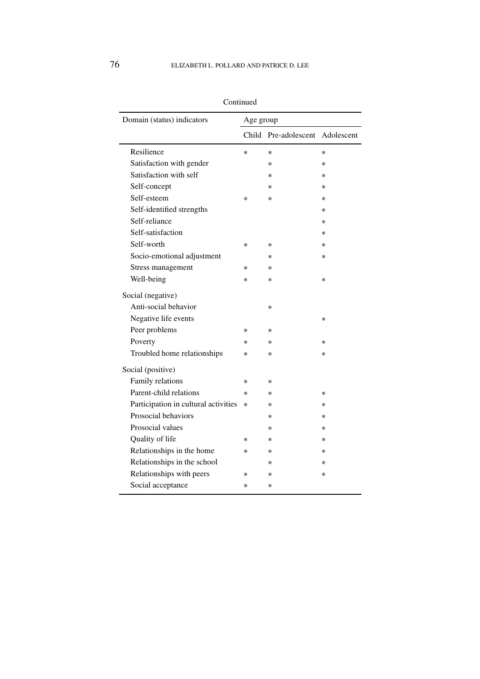| Domain (status) indicators           | Age group |                                 |        |
|--------------------------------------|-----------|---------------------------------|--------|
|                                      |           | Child Pre-adolescent Adolescent |        |
| Resilience                           | $\ast$    | $\ast$                          | $\ast$ |
| Satisfaction with gender             |           | $\ast$                          | $\ast$ |
| Satisfaction with self               |           | $\ast$                          | $\ast$ |
| Self-concept                         |           | $\ast$                          | $\ast$ |
| Self-esteem                          | $\ast$    | $\ast$                          | $\ast$ |
| Self-identified strengths            |           |                                 | $\ast$ |
| Self-reliance                        |           |                                 | $\ast$ |
| Self-satisfaction                    |           |                                 | $\ast$ |
| Self-worth                           | $\ast$    | $\ast$                          | $\ast$ |
| Socio-emotional adjustment           |           | $\ast$                          | $\ast$ |
| Stress management                    | $\ast$    | $\ast$                          |        |
| Well-being                           | $\ast$    | $\ast$                          | $\ast$ |
| Social (negative)                    |           |                                 |        |
| Anti-social behavior                 |           | $\ast$                          |        |
| Negative life events                 |           |                                 | $\ast$ |
| Peer problems                        | $\ast$    | $\ast$                          |        |
| Poverty                              | $\ast$    | $\ast$                          | $\ast$ |
| Troubled home relationships          | $\ast$    | $\ast$                          | $\ast$ |
| Social (positive)                    |           |                                 |        |
| Family relations                     | $\ast$    | $\ast$                          |        |
| Parent-child relations               | $\ast$    | $\ast$                          | $\ast$ |
| Participation in cultural activities | $\ast$    | $\ast$                          | $\ast$ |
| Prosocial behaviors                  |           | $\ast$                          | $\ast$ |
| Prosocial values                     |           | $\ast$                          | $\ast$ |
| Quality of life                      | $\ast$    | $\ast$                          | $\ast$ |
| Relationships in the home            | $\ast$    | $\ast$                          | $\ast$ |
| Relationships in the school          |           | $\ast$                          | $\ast$ |
| Relationships with peers             | $\ast$    | $\ast$                          | $\ast$ |
| Social acceptance                    | $\ast$    | $\ast$                          |        |
|                                      |           |                                 |        |

Continued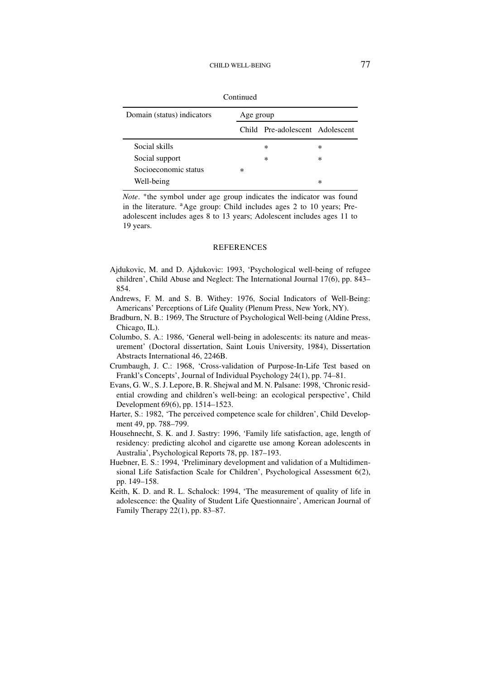| Continued |  |
|-----------|--|
|           |  |
|           |  |

| Domain (status) indicators | Age group |                                 |         |  |
|----------------------------|-----------|---------------------------------|---------|--|
|                            |           | Child Pre-adolescent Adolescent |         |  |
| Social skills              |           | $\ast$                          | $^\ast$ |  |
| Social support             |           | $\ast$                          | $^\ast$ |  |
| Socioeconomic status       | $\ast$    |                                 |         |  |
| Well-being                 |           |                                 | ∗       |  |

*Note*. \*the symbol under age group indicates the indicator was found in the literature. aAge group: Child includes ages 2 to 10 years; Preadolescent includes ages 8 to 13 years; Adolescent includes ages 11 to 19 years.

#### **REFERENCES**

- Ajdukovic, M. and D. Ajdukovic: 1993, 'Psychological well-being of refugee children', Child Abuse and Neglect: The International Journal 17(6), pp. 843– 854.
- Andrews, F. M. and S. B. Withey: 1976, Social Indicators of Well-Being: Americans' Perceptions of Life Quality (Plenum Press, New York, NY).
- Bradburn, N. B.: 1969, The Structure of Psychological Well-being (Aldine Press, Chicago, IL).
- Columbo, S. A.: 1986, 'General well-being in adolescents: its nature and measurement' (Doctoral dissertation, Saint Louis University, 1984), Dissertation Abstracts International 46, 2246B.
- Crumbaugh, J. C.: 1968, 'Cross-validation of Purpose-In-Life Test based on Frankl's Concepts', Journal of Individual Psychology 24(1), pp. 74–81.
- Evans, G. W., S. J. Lepore, B. R. Shejwal and M. N. Palsane: 1998, 'Chronic residential crowding and children's well-being: an ecological perspective', Child Development 69(6), pp. 1514–1523.
- Harter, S.: 1982, 'The perceived competence scale for children', Child Development 49, pp. 788–799.
- Househnecht, S. K. and J. Sastry: 1996, 'Family life satisfaction, age, length of residency: predicting alcohol and cigarette use among Korean adolescents in Australia', Psychological Reports 78, pp. 187–193.
- Huebner, E. S.: 1994, 'Preliminary development and validation of a Multidimensional Life Satisfaction Scale for Children', Psychological Assessment 6(2), pp. 149–158.
- Keith, K. D. and R. L. Schalock: 1994, 'The measurement of quality of life in adolescence: the Quality of Student Life Questionnaire', American Journal of Family Therapy 22(1), pp. 83–87.